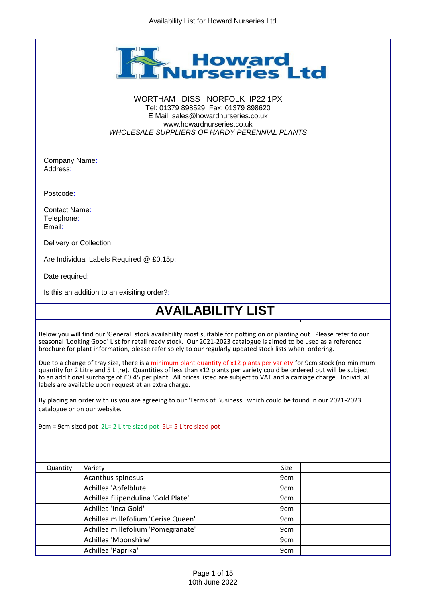

## WORTHAM DISS NORFOLK IP22 1PX Tel: 01379 898529 Fax: 01379 898620 E Mail: sales@howardnurseries.co.uk www.howardnurseries.co.uk *WHOLESALE SUPPLIERS OF HARDY PERENNIAL PLANTS*

Company Name: Address:

Postcode:

Contact Name: Telephone: Email:

Delivery or Collection:

Are Individual Labels Required @ £0.15p:

Date required:

Is this an addition to an exisiting order?:

## **AVAILABILITY LIST**

Below you will find our 'General' stock availability most suitable for potting on or planting out. Please refer to our seasonal 'Looking Good' List for retail ready stock. Our 2021-2023 catalogue is aimed to be used as a reference brochure for plant information, please refer solely to our regularly updated stock lists when ordering.

Due to a change of tray size, there is a minimum plant quantity of x12 plants per variety for 9cm stock (no minimum quantity for 2 Litre and 5 Litre). Quantities of less than x12 plants per variety could be ordered but will be subject to an additional surcharge of £0.45 per plant. All prices listed are subject to VAT and a carriage charge. Individual labels are available upon request at an extra charge.

By placing an order with us you are agreeing to our 'Terms of Business' which could be found in our 2021-2023 catalogue or on our website.

9cm = 9cm sized pot 2L= 2 Litre sized pot 5L= 5 Litre sized pot

| Quantity | Variety                             | Size            |  |
|----------|-------------------------------------|-----------------|--|
|          | Acanthus spinosus                   | 9 <sub>cm</sub> |  |
|          | Achillea 'Apfelblute'               | 9 <sub>cm</sub> |  |
|          | Achillea filipendulina 'Gold Plate' | 9 <sub>cm</sub> |  |
|          | Achillea 'Inca Gold'                | 9 <sub>cm</sub> |  |
|          | Achillea millefolium 'Cerise Queen' | 9 <sub>cm</sub> |  |
|          | Achillea millefolium 'Pomegranate'  | 9 <sub>cm</sub> |  |
|          | Achillea 'Moonshine'                | 9 <sub>cm</sub> |  |
|          | Achillea 'Paprika'                  | 9 <sub>cm</sub> |  |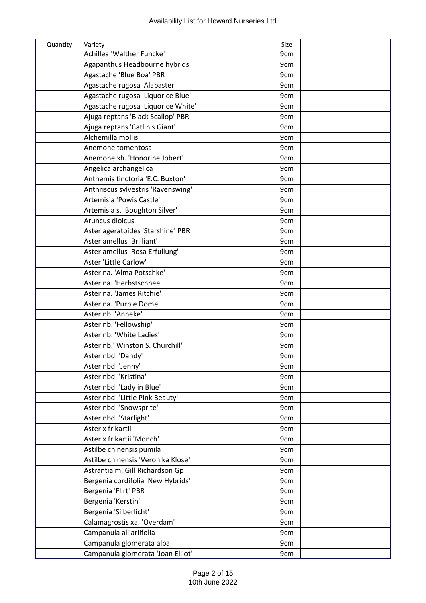| Quantity | Variety                            | Size |
|----------|------------------------------------|------|
|          | Achillea 'Walther Funcke'          | 9cm  |
|          | Agapanthus Headbourne hybrids      | 9cm  |
|          | Agastache 'Blue Boa' PBR           | 9cm  |
|          | Agastache rugosa 'Alabaster'       | 9cm  |
|          | Agastache rugosa 'Liquorice Blue'  | 9cm  |
|          | Agastache rugosa 'Liquorice White' | 9cm  |
|          | Ajuga reptans 'Black Scallop' PBR  | 9cm  |
|          | Ajuga reptans 'Catlin's Giant'     | 9cm  |
|          | Alchemilla mollis                  | 9cm  |
|          | Anemone tomentosa                  | 9cm  |
|          | Anemone xh. 'Honorine Jobert'      | 9cm  |
|          | Angelica archangelica              | 9cm  |
|          | Anthemis tinctoria 'E.C. Buxton'   | 9cm  |
|          | Anthriscus sylvestris 'Ravenswing' | 9cm  |
|          | Artemisia 'Powis Castle'           | 9cm  |
|          | Artemisia s. 'Boughton Silver'     | 9cm  |
|          | Aruncus dioicus                    | 9cm  |
|          | Aster ageratoides 'Starshine' PBR  | 9cm  |
|          | Aster amellus 'Brilliant'          | 9cm  |
|          | Aster amellus 'Rosa Erfullung'     | 9cm  |
|          | Aster 'Little Carlow'              | 9cm  |
|          | Aster na. 'Alma Potschke'          | 9cm  |
|          | Aster na. 'Herbstschnee'           | 9cm  |
|          | Aster na. 'James Ritchie'          | 9cm  |
|          | Aster na. 'Purple Dome'            | 9cm  |
|          | Aster nb. 'Anneke'                 | 9cm  |
|          | Aster nb. 'Fellowship'             | 9cm  |
|          | Aster nb. 'White Ladies'           | 9cm  |
|          | Aster nb.' Winston S. Churchill'   | 9cm  |
|          | Aster nbd. 'Dandy'                 | 9cm  |
|          | Aster nbd. 'Jenny'                 | 9cm  |
|          | Aster nbd. 'Kristina'              | 9cm  |
|          | Aster nbd. 'Lady in Blue'          | 9cm  |
|          | Aster nbd. 'Little Pink Beauty'    | 9cm  |
|          | Aster nbd. 'Snowsprite'            | 9cm  |
|          | Aster nbd. 'Starlight'             | 9cm  |
|          | Aster x frikartii                  | 9cm  |
|          | Aster x frikartii 'Monch'          | 9cm  |
|          | Astilbe chinensis pumila           | 9cm  |
|          | Astilbe chinensis 'Veronika Klose' | 9cm  |
|          | Astrantia m. Gill Richardson Gp    | 9cm  |
|          | Bergenia cordifolia 'New Hybrids'  | 9cm  |
|          | Bergenia 'Flirt' PBR               | 9cm  |
|          | Bergenia 'Kerstin'                 | 9cm  |
|          | Bergenia 'Silberlicht'             | 9cm  |
|          | Calamagrostis xa. 'Overdam'        | 9cm  |
|          | Campanula alliariifolia            | 9cm  |
|          | Campanula glomerata alba           | 9cm  |
|          | Campanula glomerata 'Joan Elliot'  | 9cm  |
|          |                                    |      |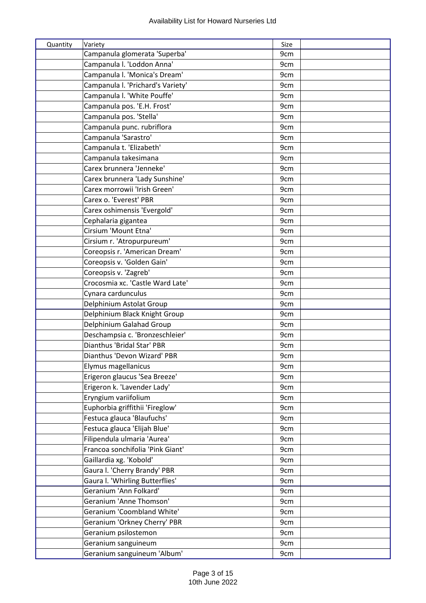| Quantity | Variety                                              | Size |  |
|----------|------------------------------------------------------|------|--|
|          | Campanula glomerata 'Superba'                        | 9cm  |  |
|          | Campanula I. 'Loddon Anna'                           | 9cm  |  |
|          | Campanula I. 'Monica's Dream'                        | 9cm  |  |
|          | Campanula I. 'Prichard's Variety'                    | 9cm  |  |
|          | Campanula I. 'White Pouffe'                          | 9cm  |  |
|          | Campanula pos. 'E.H. Frost'                          | 9cm  |  |
|          | Campanula pos. 'Stella'                              | 9cm  |  |
|          | Campanula punc. rubriflora                           | 9cm  |  |
|          | Campanula 'Sarastro'                                 | 9cm  |  |
|          | Campanula t. 'Elizabeth'                             | 9cm  |  |
|          | Campanula takesimana                                 | 9cm  |  |
|          | Carex brunnera 'Jenneke'                             | 9cm  |  |
|          | Carex brunnera 'Lady Sunshine'                       | 9cm  |  |
|          | Carex morrowii 'Irish Green'                         | 9cm  |  |
|          | Carex o. 'Everest' PBR                               | 9cm  |  |
|          | Carex oshimensis 'Evergold'                          | 9cm  |  |
|          | Cephalaria gigantea                                  | 9cm  |  |
|          | Cirsium 'Mount Etna'                                 | 9cm  |  |
|          | Cirsium r. 'Atropurpureum'                           | 9cm  |  |
|          | Coreopsis r. 'American Dream'                        | 9cm  |  |
|          | Coreopsis v. 'Golden Gain'                           | 9cm  |  |
|          | Coreopsis v. 'Zagreb'                                | 9cm  |  |
|          | Crocosmia xc. 'Castle Ward Late'                     | 9cm  |  |
|          | Cynara cardunculus                                   | 9cm  |  |
|          | Delphinium Astolat Group                             | 9cm  |  |
|          | Delphinium Black Knight Group                        | 9cm  |  |
|          | Delphinium Galahad Group                             | 9cm  |  |
|          | Deschampsia c. 'Bronzeschleier'                      | 9cm  |  |
|          | Dianthus 'Bridal Star' PBR                           | 9cm  |  |
|          | Dianthus 'Devon Wizard' PBR                          | 9cm  |  |
|          | Elymus magellanicus                                  | 9cm  |  |
|          | Erigeron glaucus 'Sea Breeze'                        | 9cm  |  |
|          | Erigeron k. 'Lavender Lady'                          | 9cm  |  |
|          | Eryngium variifolium                                 | 9cm  |  |
|          | Euphorbia griffithii 'Fireglow'                      | 9cm  |  |
|          | Festuca glauca 'Blaufuchs'                           | 9cm  |  |
|          | Festuca glauca 'Elijah Blue'                         | 9cm  |  |
|          | Filipendula ulmaria 'Aurea'                          | 9cm  |  |
|          | Francoa sonchifolia 'Pink Giant'                     | 9cm  |  |
|          | Gaillardia xg. 'Kobold'                              | 9cm  |  |
|          | Gaura I. 'Cherry Brandy' PBR                         | 9cm  |  |
|          | Gaura I. 'Whirling Butterflies'                      | 9cm  |  |
|          | Geranium 'Ann Folkard'                               | 9cm  |  |
|          | Geranium 'Anne Thomson'                              | 9cm  |  |
|          | Geranium 'Coombland White'                           | 9cm  |  |
|          |                                                      |      |  |
|          | Geranium 'Orkney Cherry' PBR<br>Geranium psilostemon | 9cm  |  |
|          |                                                      | 9cm  |  |
|          | Geranium sanguineum                                  | 9cm  |  |
|          | Geranium sanguineum 'Album'                          | 9cm  |  |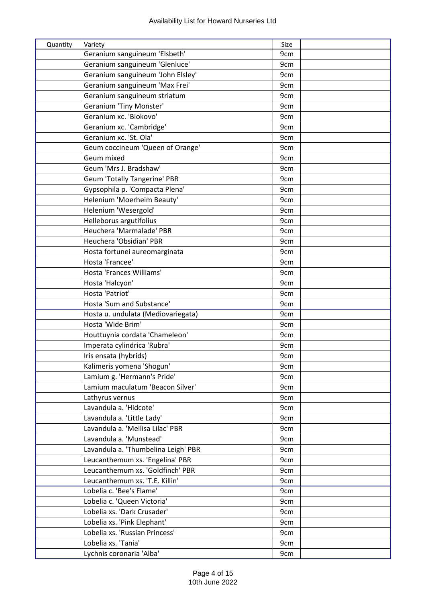| Quantity | Variety                                                             | Size            |  |
|----------|---------------------------------------------------------------------|-----------------|--|
|          | Geranium sanguineum 'Elsbeth'                                       | 9cm             |  |
|          | Geranium sanguineum 'Glenluce'                                      | 9cm             |  |
|          | Geranium sanguineum 'John Elsley'                                   | 9cm             |  |
|          | Geranium sanguineum 'Max Frei'                                      | 9cm             |  |
|          | Geranium sanguineum striatum                                        | 9cm             |  |
|          | Geranium 'Tiny Monster'                                             | 9 <sub>cm</sub> |  |
|          | Geranium xc. 'Biokovo'                                              | 9cm             |  |
|          | Geranium xc. 'Cambridge'                                            | 9cm             |  |
|          | Geranium xc. 'St. Ola'                                              | 9cm             |  |
|          | Geum coccineum 'Queen of Orange'                                    | 9cm             |  |
|          | Geum mixed                                                          | 9cm             |  |
|          | Geum 'Mrs J. Bradshaw'                                              | 9cm             |  |
|          | <b>Geum 'Totally Tangerine' PBR</b>                                 | 9cm             |  |
|          | Gypsophila p. 'Compacta Plena'                                      | 9cm             |  |
|          | Helenium 'Moerheim Beauty'                                          | 9cm             |  |
|          | Helenium 'Wesergold'                                                | 9cm             |  |
|          | Helleborus argutifolius                                             | 9cm             |  |
|          | Heuchera 'Marmalade' PBR                                            | 9 <sub>cm</sub> |  |
|          | Heuchera 'Obsidian' PBR                                             | 9cm             |  |
|          | Hosta fortunei aureomarginata                                       | 9cm             |  |
|          | Hosta 'Francee'                                                     | 9cm             |  |
|          | Hosta 'Frances Williams'                                            | 9cm             |  |
|          | Hosta 'Halcyon'                                                     | 9cm             |  |
|          | Hosta 'Patriot'                                                     | 9cm             |  |
|          | Hosta 'Sum and Substance'                                           | 9cm             |  |
|          | Hosta u. undulata (Mediovariegata)                                  | 9cm             |  |
|          | Hosta 'Wide Brim'                                                   | 9cm             |  |
|          | Houttuynia cordata 'Chameleon'                                      | 9cm             |  |
|          | Imperata cylindrica 'Rubra'                                         | 9cm             |  |
|          | Iris ensata (hybrids)                                               | 9cm             |  |
|          | Kalimeris yomena 'Shogun'                                           | 9cm             |  |
|          | Lamium g. 'Hermann's Pride'                                         | 9cm             |  |
|          | Lamium maculatum 'Beacon Silver'                                    | 9cm             |  |
|          | Lathyrus vernus                                                     | 9cm             |  |
|          | Lavandula a. 'Hidcote'                                              | 9cm             |  |
|          | Lavandula a. 'Little Lady'                                          | 9cm             |  |
|          | Lavandula a. 'Mellisa Lilac' PBR                                    | 9cm             |  |
|          | Lavandula a. 'Munstead'                                             | 9cm             |  |
|          |                                                                     |                 |  |
|          | Lavandula a. 'Thumbelina Leigh' PBR                                 | 9cm             |  |
|          | Leucanthemum xs. 'Engelina' PBR<br>Leucanthemum xs. 'Goldfinch' PBR | 9cm             |  |
|          |                                                                     | 9cm             |  |
|          | Leucanthemum xs. 'T.E. Killin'                                      | 9cm             |  |
|          | Lobelia c. 'Bee's Flame'                                            | 9cm             |  |
|          | Lobelia c. 'Queen Victoria'                                         | 9cm             |  |
|          | Lobelia xs. 'Dark Crusader'                                         | 9cm             |  |
|          | Lobelia xs. 'Pink Elephant'                                         | 9cm             |  |
|          | Lobelia xs. 'Russian Princess'                                      | 9cm             |  |
|          | Lobelia xs. 'Tania'                                                 | 9cm             |  |
|          | Lychnis coronaria 'Alba'                                            | 9cm             |  |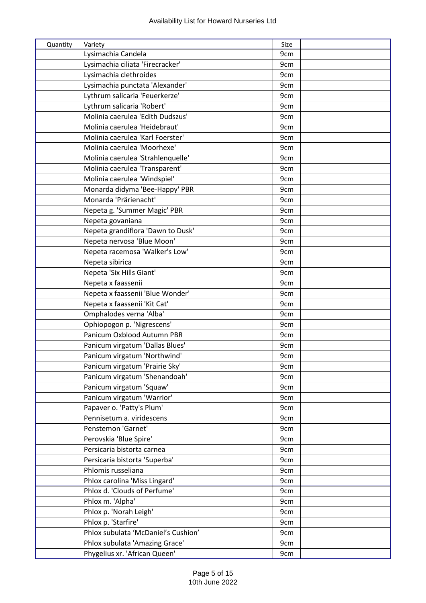| Quantity | Variety                             | Size |
|----------|-------------------------------------|------|
|          | Lysimachia Candela                  | 9cm  |
|          | Lysimachia ciliata 'Firecracker'    | 9cm  |
|          | Lysimachia clethroides              | 9cm  |
|          | Lysimachia punctata 'Alexander'     | 9cm  |
|          | Lythrum salicaria 'Feuerkerze'      | 9cm  |
|          | Lythrum salicaria 'Robert'          | 9cm  |
|          | Molinia caerulea 'Edith Dudszus'    | 9cm  |
|          | Molinia caerulea 'Heidebraut'       | 9cm  |
|          | Molinia caerulea 'Karl Foerster'    | 9cm  |
|          | Molinia caerulea 'Moorhexe'         | 9cm  |
|          | Molinia caerulea 'Strahlenquelle'   | 9cm  |
|          | Molinia caerulea 'Transparent'      | 9cm  |
|          | Molinia caerulea 'Windspiel'        | 9cm  |
|          | Monarda didyma 'Bee-Happy' PBR      | 9cm  |
|          | Monarda 'Prärienacht'               | 9cm  |
|          | Nepeta g. 'Summer Magic' PBR        | 9cm  |
|          | Nepeta govaniana                    | 9cm  |
|          | Nepeta grandiflora 'Dawn to Dusk'   | 9cm  |
|          | Nepeta nervosa 'Blue Moon'          | 9cm  |
|          | Nepeta racemosa 'Walker's Low'      | 9cm  |
|          | Nepeta sibirica                     | 9cm  |
|          | Nepeta 'Six Hills Giant'            | 9cm  |
|          | Nepeta x faassenii                  | 9cm  |
|          | Nepeta x faassenii 'Blue Wonder'    | 9cm  |
|          | Nepeta x faassenii 'Kit Cat'        | 9cm  |
|          | Omphalodes verna 'Alba'             | 9cm  |
|          | Ophiopogon p. 'Nigrescens'          | 9cm  |
|          | Panicum Oxblood Autumn PBR          | 9cm  |
|          | Panicum virgatum 'Dallas Blues'     | 9cm  |
|          | Panicum virgatum 'Northwind'        | 9cm  |
|          | Panicum virgatum 'Prairie Sky'      | 9cm  |
|          | Panicum virgatum 'Shenandoah'       | 9cm  |
|          | Panicum virgatum 'Squaw'            | 9cm  |
|          | Panicum virgatum 'Warrior'          | 9cm  |
|          | Papaver o. 'Patty's Plum'           | 9cm  |
|          | Pennisetum a. viridescens           | 9cm  |
|          | Penstemon 'Garnet'                  | 9cm  |
|          | Perovskia 'Blue Spire'              | 9cm  |
|          | Persicaria bistorta carnea          | 9cm  |
|          | Persicaria bistorta 'Superba'       | 9cm  |
|          | Phlomis russeliana                  | 9cm  |
|          | Phlox carolina 'Miss Lingard'       | 9cm  |
|          | Phlox d. 'Clouds of Perfume'        | 9cm  |
|          | Phlox m. 'Alpha'                    | 9cm  |
|          | Phlox p. 'Norah Leigh'              | 9cm  |
|          | Phlox p. 'Starfire'                 | 9cm  |
|          | Phlox subulata 'McDaniel's Cushion' | 9cm  |
|          | Phlox subulata 'Amazing Grace'      | 9cm  |
|          | Phygelius xr. 'African Queen'       | 9cm  |
|          |                                     |      |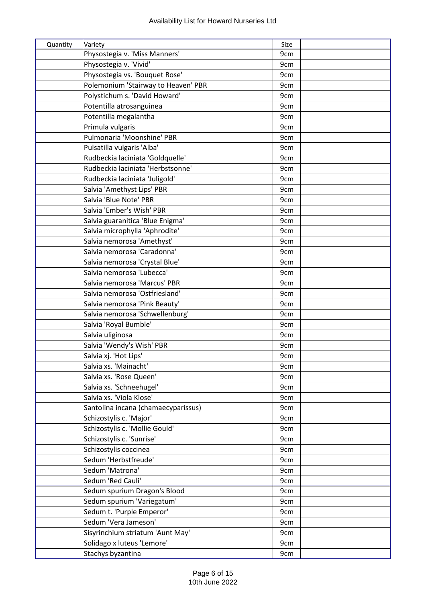| Quantity | Variety                             | Size |
|----------|-------------------------------------|------|
|          | Physostegia v. 'Miss Manners'       | 9cm  |
|          | Physostegia v. 'Vivid'              | 9cm  |
|          | Physostegia vs. 'Bouquet Rose'      | 9cm  |
|          | Polemonium 'Stairway to Heaven' PBR | 9cm  |
|          | Polystichum s. 'David Howard'       | 9cm  |
|          | Potentilla atrosanguinea            | 9cm  |
|          | Potentilla megalantha               | 9cm  |
|          | Primula vulgaris                    | 9cm  |
|          | Pulmonaria 'Moonshine' PBR          | 9cm  |
|          | Pulsatilla vulgaris 'Alba'          | 9cm  |
|          | Rudbeckia laciniata 'Goldquelle'    | 9cm  |
|          | Rudbeckia laciniata 'Herbstsonne'   | 9cm  |
|          | Rudbeckia laciniata 'Juligold'      | 9cm  |
|          | Salvia 'Amethyst Lips' PBR          | 9cm  |
|          | Salvia 'Blue Note' PBR              | 9cm  |
|          | Salvia 'Ember's Wish' PBR           | 9cm  |
|          | Salvia guaranitica 'Blue Enigma'    | 9cm  |
|          | Salvia microphylla 'Aphrodite'      | 9cm  |
|          | Salvia nemorosa 'Amethyst'          | 9cm  |
|          | Salvia nemorosa 'Caradonna'         | 9cm  |
|          | Salvia nemorosa 'Crystal Blue'      | 9cm  |
|          | Salvia nemorosa 'Lubecca'           | 9cm  |
|          | Salvia nemorosa 'Marcus' PBR        | 9cm  |
|          | Salvia nemorosa 'Ostfriesland'      | 9cm  |
|          | Salvia nemorosa 'Pink Beauty'       | 9cm  |
|          | Salvia nemorosa 'Schwellenburg'     | 9cm  |
|          | Salvia 'Royal Bumble'               | 9cm  |
|          | Salvia uliginosa                    | 9cm  |
|          | Salvia 'Wendy's Wish' PBR           | 9cm  |
|          | Salvia xj. 'Hot Lips'               | 9cm  |
|          | Salvia xs. 'Mainacht'               | 9cm  |
|          | Salvia xs. 'Rose Queen'             | 9cm  |
|          | Salvia xs. 'Schneehugel'            | 9cm  |
|          | Salvia xs. 'Viola Klose'            | 9cm  |
|          | Santolina incana (chamaecyparissus) | 9cm  |
|          | Schizostylis c. 'Major'             | 9cm  |
|          | Schizostylis c. 'Mollie Gould'      | 9cm  |
|          | Schizostylis c. 'Sunrise'           | 9cm  |
|          | Schizostylis coccinea               | 9cm  |
|          | Sedum 'Herbstfreude'                | 9cm  |
|          | Sedum 'Matrona'                     | 9cm  |
|          | Sedum 'Red Cauli'                   | 9cm  |
|          | Sedum spurium Dragon's Blood        | 9cm  |
|          | Sedum spurium 'Variegatum'          | 9cm  |
|          | Sedum t. 'Purple Emperor'           | 9cm  |
|          | Sedum 'Vera Jameson'                | 9cm  |
|          | Sisyrinchium striatum 'Aunt May'    | 9cm  |
|          | Solidago x luteus 'Lemore'          | 9cm  |
|          | Stachys byzantina                   | 9cm  |
|          |                                     |      |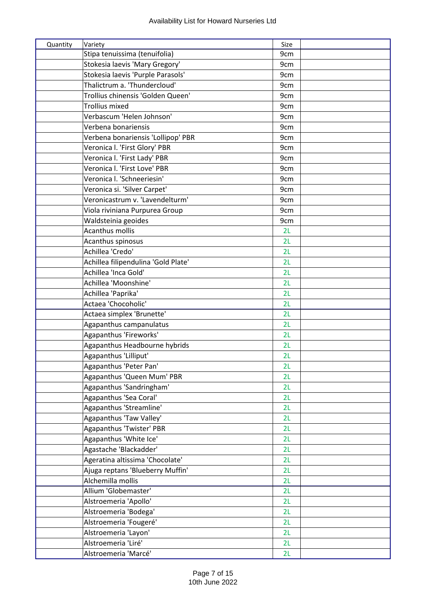| Quantity | Variety                             | Size |  |
|----------|-------------------------------------|------|--|
|          | Stipa tenuissima (tenuifolia)       | 9cm  |  |
|          | Stokesia laevis 'Mary Gregory'      | 9cm  |  |
|          | Stokesia laevis 'Purple Parasols'   | 9cm  |  |
|          | Thalictrum a. 'Thundercloud'        | 9cm  |  |
|          | Trollius chinensis 'Golden Queen'   | 9cm  |  |
|          | <b>Trollius mixed</b>               | 9cm  |  |
|          | Verbascum 'Helen Johnson'           | 9cm  |  |
|          | Verbena bonariensis                 | 9cm  |  |
|          | Verbena bonariensis 'Lollipop' PBR  | 9cm  |  |
|          | Veronica I. 'First Glory' PBR       | 9cm  |  |
|          | Veronica I. 'First Lady' PBR        | 9cm  |  |
|          | Veronica I. 'First Love' PBR        | 9cm  |  |
|          | Veronica I. 'Schneeriesin'          | 9cm  |  |
|          | Veronica si. 'Silver Carpet'        | 9cm  |  |
|          | Veronicastrum v. 'Lavendelturm'     | 9cm  |  |
|          | Viola riviniana Purpurea Group      | 9cm  |  |
|          | Waldsteinia geoides                 | 9cm  |  |
|          | Acanthus mollis                     | 2L   |  |
|          | Acanthus spinosus                   | 2L   |  |
|          | Achillea 'Credo'                    | 2L   |  |
|          | Achillea filipendulina 'Gold Plate' | 2L   |  |
|          | Achillea 'Inca Gold'                | 2L   |  |
|          | Achillea 'Moonshine'                | 2L   |  |
|          | Achillea 'Paprika'                  | 2L   |  |
|          | Actaea 'Chocoholic'                 | 2L   |  |
|          | Actaea simplex 'Brunette'           | 2L   |  |
|          | Agapanthus campanulatus             | 2L   |  |
|          | Agapanthus 'Fireworks'              | 2L   |  |
|          | Agapanthus Headbourne hybrids       | 2L   |  |
|          | Agapanthus 'Lilliput'               | 2L   |  |
|          | Agapanthus 'Peter Pan'              | 2L   |  |
|          | Agapanthus 'Queen Mum' PBR          | 2L   |  |
|          | Agapanthus 'Sandringham'            | 2L   |  |
|          | Agapanthus 'Sea Coral'              | 2L   |  |
|          | Agapanthus 'Streamline'             | 2L   |  |
|          | Agapanthus 'Taw Valley'             | 2L   |  |
|          | Agapanthus 'Twister' PBR            | 2L   |  |
|          | Agapanthus 'White Ice'              | 2L   |  |
|          | Agastache 'Blackadder'              | 2L   |  |
|          | Ageratina altissima 'Chocolate'     | 2L   |  |
|          | Ajuga reptans 'Blueberry Muffin'    | 2L   |  |
|          | Alchemilla mollis                   | 2L   |  |
|          | Allium 'Globemaster'                | 2L   |  |
|          | Alstroemeria 'Apollo'               | 2L   |  |
|          | Alstroemeria 'Bodega'               | 2L   |  |
|          | Alstroemeria 'Fougeré'              | 2L   |  |
|          | Alstroemeria 'Layon'                | 2L   |  |
|          | Alstroemeria 'Liré'                 | 2L   |  |
|          | Alstroemeria 'Marcé'                | 2L   |  |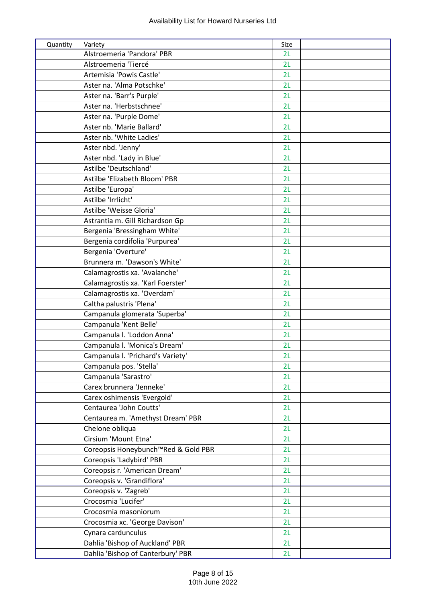| Quantity | Variety                             | Size |  |
|----------|-------------------------------------|------|--|
|          | Alstroemeria 'Pandora' PBR          | 2L   |  |
|          | Alstroemeria 'Tiercé                | 2L   |  |
|          | Artemisia 'Powis Castle'            | 2L   |  |
|          | Aster na. 'Alma Potschke'           | 2L   |  |
|          | Aster na. 'Barr's Purple'           | 2L   |  |
|          | Aster na. 'Herbstschnee'            | 2L   |  |
|          | Aster na. 'Purple Dome'             | 2L   |  |
|          | Aster nb. 'Marie Ballard'           | 2L   |  |
|          | Aster nb. 'White Ladies'            | 2L   |  |
|          | Aster nbd. 'Jenny'                  | 2L   |  |
|          | Aster nbd. 'Lady in Blue'           | 2L   |  |
|          | Astilbe 'Deutschland'               | 2L   |  |
|          | Astilbe 'Elizabeth Bloom' PBR       | 2L   |  |
|          | Astilbe 'Europa'                    | 2L   |  |
|          | Astilbe 'Irrlicht'                  | 2L   |  |
|          | Astilbe 'Weisse Gloria'             | 2L   |  |
|          | Astrantia m. Gill Richardson Gp     | 2L   |  |
|          | Bergenia 'Bressingham White'        | 2L   |  |
|          | Bergenia cordifolia 'Purpurea'      | 2L   |  |
|          | Bergenia 'Overture'                 | 2L   |  |
|          | Brunnera m. 'Dawson's White'        | 2L   |  |
|          | Calamagrostis xa. 'Avalanche'       | 2L   |  |
|          | Calamagrostis xa. 'Karl Foerster'   | 2L   |  |
|          | Calamagrostis xa. 'Overdam'         | 2L   |  |
|          | Caltha palustris 'Plena'            | 2L   |  |
|          | Campanula glomerata 'Superba'       | 2L   |  |
|          | Campanula 'Kent Belle'              | 2L   |  |
|          | Campanula I. 'Loddon Anna'          | 2L   |  |
|          | Campanula I. 'Monica's Dream'       | 2L   |  |
|          | Campanula I. 'Prichard's Variety'   | 2L   |  |
|          | Campanula pos. 'Stella'             | 2L   |  |
|          | Campanula 'Sarastro'                | 2L   |  |
|          | Carex brunnera 'Jenneke'            | 2L   |  |
|          | Carex oshimensis 'Evergold'         | 2L   |  |
|          | Centaurea 'John Coutts'             | 2L   |  |
|          | Centaurea m. 'Amethyst Dream' PBR   | 2L   |  |
|          | Chelone obliqua                     | 2L   |  |
|          | Cirsium 'Mount Etna'                | 2L   |  |
|          | Coreopsis Honeybunch™Red & Gold PBR | 2L   |  |
|          | Coreopsis 'Ladybird' PBR            | 2L   |  |
|          | Coreopsis r. 'American Dream'       | 2L   |  |
|          | Coreopsis v. 'Grandiflora'          | 2L   |  |
|          | Coreopsis v. 'Zagreb'               | 2L   |  |
|          | Crocosmia 'Lucifer'                 | 2L   |  |
|          | Crocosmia masoniorum                | 2L   |  |
|          | Crocosmia xc. 'George Davison'      | 2L   |  |
|          | Cynara cardunculus                  | 2L   |  |
|          | Dahlia 'Bishop of Auckland' PBR     | 2L   |  |
|          | Dahlia 'Bishop of Canterbury' PBR   | 2L   |  |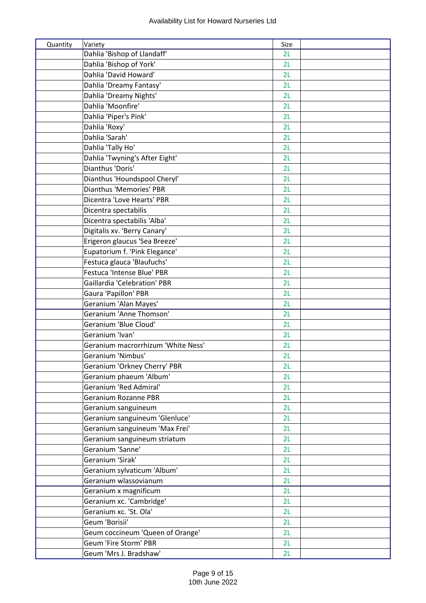| Quantity | Variety                            | Size |  |
|----------|------------------------------------|------|--|
|          | Dahlia 'Bishop of Llandaff'        | 2L   |  |
|          | Dahlia 'Bishop of York'            | 2L   |  |
|          | Dahlia 'David Howard'              | 2L   |  |
|          | Dahlia 'Dreamy Fantasy'            | 2L   |  |
|          | Dahlia 'Dreamy Nights'             | 2L   |  |
|          | Dahlia 'Moonfire'                  | 2L   |  |
|          | Dahlia 'Piper's Pink'              | 2L   |  |
|          | Dahlia 'Roxy'                      | 2L   |  |
|          | Dahlia 'Sarah'                     | 2L   |  |
|          | Dahlia 'Tally Ho'                  | 2L   |  |
|          | Dahlia 'Twyning's After Eight'     | 2L   |  |
|          | Dianthus 'Doris'                   | 2L   |  |
|          | Dianthus 'Houndspool Cheryl'       | 2L   |  |
|          | Dianthus 'Memories' PBR            | 2L   |  |
|          | Dicentra 'Love Hearts' PBR         | 2L   |  |
|          | Dicentra spectabilis               | 2L   |  |
|          | Dicentra spectabilis 'Alba'        | 2L   |  |
|          | Digitalis xv. 'Berry Canary'       | 2L   |  |
|          | Erigeron glaucus 'Sea Breeze'      | 2L   |  |
|          | Eupatorium f. 'Pink Elegance'      | 2L   |  |
|          | Festuca glauca 'Blaufuchs'         | 2L   |  |
|          | Festuca 'Intense Blue' PBR         | 2L   |  |
|          | Gaillardia 'Celebration' PBR       | 2L   |  |
|          | Gaura 'Papillon' PBR               | 2L   |  |
|          | Geranium 'Alan Mayes'              | 2L   |  |
|          | Geranium 'Anne Thomson'            | 2L   |  |
|          | Geranium 'Blue Cloud'              | 2L   |  |
|          | Geranium 'Ivan'                    | 2L   |  |
|          | Geranium macrorrhizum 'White Ness' | 2L   |  |
|          | Geranium 'Nimbus'                  | 2L   |  |
|          | Geranium 'Orkney Cherry' PBR       | 2L   |  |
|          | Geranium phaeum 'Album'            | 2L   |  |
|          | Geranium 'Red Admiral'             | 2L   |  |
|          | Geranium Rozanne PBR               | 2L   |  |
|          | Geranium sanguineum                | 2L   |  |
|          | Geranium sanguineum 'Glenluce'     | 2L   |  |
|          | Geranium sanguineum 'Max Frei'     | 2L   |  |
|          | Geranium sanguineum striatum       | 2L   |  |
|          | Geranium 'Sanne'                   | 2L   |  |
|          | Geranium 'Sirak'                   | 2L   |  |
|          | Geranium sylvaticum 'Album'        | 2L   |  |
|          | Geranium wlassovianum              | 2L   |  |
|          | Geranium x magnificum              | 2L   |  |
|          | Geranium xc. 'Cambridge'           | 2L   |  |
|          | Geranium xc. 'St. Ola'             | 2L   |  |
|          | Geum 'Borisii'                     | 2L   |  |
|          | Geum coccineum 'Queen of Orange'   | 2L   |  |
|          | Geum 'Fire Storm' PBR              | 2L   |  |
|          | Geum 'Mrs J. Bradshaw'             | 2L   |  |
|          |                                    |      |  |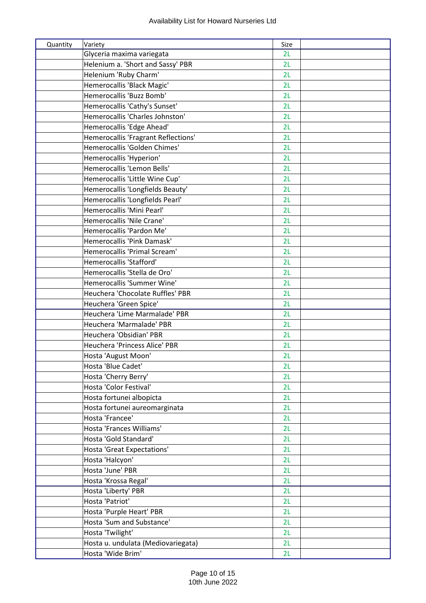| Quantity | Variety                             | Size |  |
|----------|-------------------------------------|------|--|
|          | Glyceria maxima variegata           | 2L   |  |
|          | Helenium a. 'Short and Sassy' PBR   | 2L   |  |
|          | Helenium 'Ruby Charm'               | 2L   |  |
|          | Hemerocallis 'Black Magic'          | 2L   |  |
|          | Hemerocallis 'Buzz Bomb'            | 2L   |  |
|          | Hemerocallis 'Cathy's Sunset'       | 2L   |  |
|          | Hemerocallis 'Charles Johnston'     | 2L   |  |
|          | Hemerocallis 'Edge Ahead'           | 2L   |  |
|          | Hemerocallis 'Fragrant Reflections' | 2L   |  |
|          | Hemerocallis 'Golden Chimes'        | 2L   |  |
|          | Hemerocallis 'Hyperion'             | 2L   |  |
|          | Hemerocallis 'Lemon Bells'          | 2L   |  |
|          | Hemerocallis 'Little Wine Cup'      | 2L   |  |
|          | Hemerocallis 'Longfields Beauty'    | 2L   |  |
|          | Hemerocallis 'Longfields Pearl'     | 2L   |  |
|          | Hemerocallis 'Mini Pearl'           | 2L   |  |
|          | Hemerocallis 'Nile Crane'           | 2L   |  |
|          | Hemerocallis 'Pardon Me'            | 2L   |  |
|          | Hemerocallis 'Pink Damask'          | 2L   |  |
|          | Hemerocallis 'Primal Scream'        | 2L   |  |
|          | Hemerocallis 'Stafford'             | 2L   |  |
|          | Hemerocallis 'Stella de Oro'        | 2L   |  |
|          | Hemerocallis 'Summer Wine'          | 2L   |  |
|          | Heuchera 'Chocolate Ruffles' PBR    | 2L   |  |
|          | Heuchera 'Green Spice'              | 2L   |  |
|          | Heuchera 'Lime Marmalade' PBR       | 2L   |  |
|          | Heuchera 'Marmalade' PBR            | 2L   |  |
|          | Heuchera 'Obsidian' PBR             | 2L   |  |
|          | Heuchera 'Princess Alice' PBR       | 2L   |  |
|          | Hosta 'August Moon'                 | 2L   |  |
|          | Hosta 'Blue Cadet'                  | 2L   |  |
|          | Hosta 'Cherry Berry'                | 2L   |  |
|          | Hosta 'Color Festival'              | 2L   |  |
|          | Hosta fortunei albopicta            | 2L   |  |
|          | Hosta fortunei aureomarginata       | 2L   |  |
|          | Hosta 'Francee'                     | 2L   |  |
|          | Hosta 'Frances Williams'            | 2L   |  |
|          | Hosta 'Gold Standard'               | 2L   |  |
|          | Hosta 'Great Expectations'          | 2L   |  |
|          | Hosta 'Halcyon'                     | 2L   |  |
|          | Hosta 'June' PBR                    | 2L   |  |
|          | Hosta 'Krossa Regal'                | 2L   |  |
|          | Hosta 'Liberty' PBR                 | 2L   |  |
|          | Hosta 'Patriot'                     | 2L   |  |
|          | Hosta 'Purple Heart' PBR            | 2L   |  |
|          | Hosta 'Sum and Substance'           | 2L   |  |
|          | Hosta 'Twilight'                    | 2L   |  |
|          | Hosta u. undulata (Mediovariegata)  | 2L   |  |
|          | Hosta 'Wide Brim'                   | 2L   |  |
|          |                                     |      |  |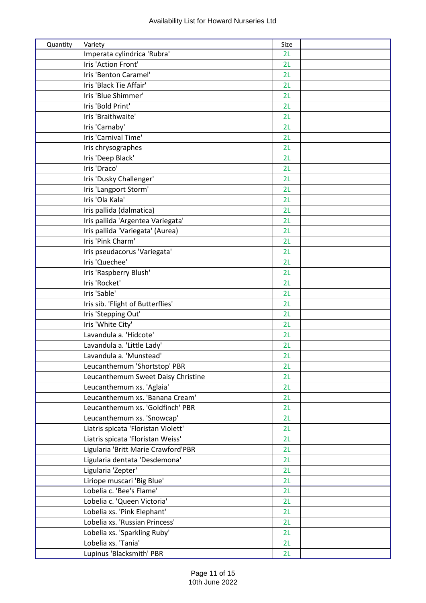| Imperata cylindrica 'Rubra'<br>2L<br>Iris 'Action Front'<br>2L<br>Iris 'Benton Caramel'<br>2L<br>Iris 'Black Tie Affair'<br>2L<br>Iris 'Blue Shimmer'<br>2L<br>Iris 'Bold Print'<br>2L<br>Iris 'Braithwaite'<br>2L<br>Iris 'Carnaby'<br>2L<br>Iris 'Carnival Time'<br>2L<br>Iris chrysographes<br>2L<br>Iris 'Deep Black'<br>2L<br>Iris 'Draco'<br>2L<br>Iris 'Dusky Challenger'<br>2L<br>Iris 'Langport Storm'<br>2L<br>Iris 'Ola Kala'<br>2L<br>Iris pallida (dalmatica)<br>2L<br>Iris pallida 'Argentea Variegata'<br>2L<br>Iris pallida 'Variegata' (Aurea)<br>2L<br>Iris 'Pink Charm'<br>2L<br>Iris pseudacorus 'Variegata'<br>2L<br>Iris 'Quechee'<br>2L<br>Iris 'Raspberry Blush'<br>2L<br>Iris 'Rocket'<br>2L<br>Iris 'Sable'<br>2L<br>Iris sib. 'Flight of Butterflies'<br>2L<br>Iris 'Stepping Out'<br>2L<br>Iris 'White City'<br>2L<br>Lavandula a. 'Hidcote'<br>2L<br>Lavandula a. 'Little Lady'<br>2L<br>Lavandula a. 'Munstead'<br>2l<br>Leucanthemum 'Shortstop' PBR<br>2L<br>Leucanthemum Sweet Daisy Christine<br>2L<br>Leucanthemum xs. 'Aglaia'<br>2L<br>Leucanthemum xs. 'Banana Cream'<br>2L<br>Leucanthemum xs. 'Goldfinch' PBR<br>2L<br>Leucanthemum xs. 'Snowcap'<br>2L<br>Liatris spicata 'Floristan Violett'<br>2L<br>Liatris spicata 'Floristan Weiss'<br>2L<br>Ligularia 'Britt Marie Crawford'PBR<br>2L<br>Ligularia dentata 'Desdemona'<br>2L<br>Ligularia 'Zepter'<br>2L<br>Liriope muscari 'Big Blue'<br>2L<br>Lobelia c. 'Bee's Flame'<br>2L<br>Lobelia c. 'Queen Victoria'<br>2L<br>Lobelia xs. 'Pink Elephant'<br>2L | Quantity | Variety                        | Size |  |
|---------------------------------------------------------------------------------------------------------------------------------------------------------------------------------------------------------------------------------------------------------------------------------------------------------------------------------------------------------------------------------------------------------------------------------------------------------------------------------------------------------------------------------------------------------------------------------------------------------------------------------------------------------------------------------------------------------------------------------------------------------------------------------------------------------------------------------------------------------------------------------------------------------------------------------------------------------------------------------------------------------------------------------------------------------------------------------------------------------------------------------------------------------------------------------------------------------------------------------------------------------------------------------------------------------------------------------------------------------------------------------------------------------------------------------------------------------------------------------------------------------------------------------------------------------|----------|--------------------------------|------|--|
|                                                                                                                                                                                                                                                                                                                                                                                                                                                                                                                                                                                                                                                                                                                                                                                                                                                                                                                                                                                                                                                                                                                                                                                                                                                                                                                                                                                                                                                                                                                                                         |          |                                |      |  |
|                                                                                                                                                                                                                                                                                                                                                                                                                                                                                                                                                                                                                                                                                                                                                                                                                                                                                                                                                                                                                                                                                                                                                                                                                                                                                                                                                                                                                                                                                                                                                         |          |                                |      |  |
|                                                                                                                                                                                                                                                                                                                                                                                                                                                                                                                                                                                                                                                                                                                                                                                                                                                                                                                                                                                                                                                                                                                                                                                                                                                                                                                                                                                                                                                                                                                                                         |          |                                |      |  |
|                                                                                                                                                                                                                                                                                                                                                                                                                                                                                                                                                                                                                                                                                                                                                                                                                                                                                                                                                                                                                                                                                                                                                                                                                                                                                                                                                                                                                                                                                                                                                         |          |                                |      |  |
|                                                                                                                                                                                                                                                                                                                                                                                                                                                                                                                                                                                                                                                                                                                                                                                                                                                                                                                                                                                                                                                                                                                                                                                                                                                                                                                                                                                                                                                                                                                                                         |          |                                |      |  |
|                                                                                                                                                                                                                                                                                                                                                                                                                                                                                                                                                                                                                                                                                                                                                                                                                                                                                                                                                                                                                                                                                                                                                                                                                                                                                                                                                                                                                                                                                                                                                         |          |                                |      |  |
|                                                                                                                                                                                                                                                                                                                                                                                                                                                                                                                                                                                                                                                                                                                                                                                                                                                                                                                                                                                                                                                                                                                                                                                                                                                                                                                                                                                                                                                                                                                                                         |          |                                |      |  |
|                                                                                                                                                                                                                                                                                                                                                                                                                                                                                                                                                                                                                                                                                                                                                                                                                                                                                                                                                                                                                                                                                                                                                                                                                                                                                                                                                                                                                                                                                                                                                         |          |                                |      |  |
|                                                                                                                                                                                                                                                                                                                                                                                                                                                                                                                                                                                                                                                                                                                                                                                                                                                                                                                                                                                                                                                                                                                                                                                                                                                                                                                                                                                                                                                                                                                                                         |          |                                |      |  |
|                                                                                                                                                                                                                                                                                                                                                                                                                                                                                                                                                                                                                                                                                                                                                                                                                                                                                                                                                                                                                                                                                                                                                                                                                                                                                                                                                                                                                                                                                                                                                         |          |                                |      |  |
|                                                                                                                                                                                                                                                                                                                                                                                                                                                                                                                                                                                                                                                                                                                                                                                                                                                                                                                                                                                                                                                                                                                                                                                                                                                                                                                                                                                                                                                                                                                                                         |          |                                |      |  |
|                                                                                                                                                                                                                                                                                                                                                                                                                                                                                                                                                                                                                                                                                                                                                                                                                                                                                                                                                                                                                                                                                                                                                                                                                                                                                                                                                                                                                                                                                                                                                         |          |                                |      |  |
|                                                                                                                                                                                                                                                                                                                                                                                                                                                                                                                                                                                                                                                                                                                                                                                                                                                                                                                                                                                                                                                                                                                                                                                                                                                                                                                                                                                                                                                                                                                                                         |          |                                |      |  |
|                                                                                                                                                                                                                                                                                                                                                                                                                                                                                                                                                                                                                                                                                                                                                                                                                                                                                                                                                                                                                                                                                                                                                                                                                                                                                                                                                                                                                                                                                                                                                         |          |                                |      |  |
|                                                                                                                                                                                                                                                                                                                                                                                                                                                                                                                                                                                                                                                                                                                                                                                                                                                                                                                                                                                                                                                                                                                                                                                                                                                                                                                                                                                                                                                                                                                                                         |          |                                |      |  |
|                                                                                                                                                                                                                                                                                                                                                                                                                                                                                                                                                                                                                                                                                                                                                                                                                                                                                                                                                                                                                                                                                                                                                                                                                                                                                                                                                                                                                                                                                                                                                         |          |                                |      |  |
|                                                                                                                                                                                                                                                                                                                                                                                                                                                                                                                                                                                                                                                                                                                                                                                                                                                                                                                                                                                                                                                                                                                                                                                                                                                                                                                                                                                                                                                                                                                                                         |          |                                |      |  |
|                                                                                                                                                                                                                                                                                                                                                                                                                                                                                                                                                                                                                                                                                                                                                                                                                                                                                                                                                                                                                                                                                                                                                                                                                                                                                                                                                                                                                                                                                                                                                         |          |                                |      |  |
|                                                                                                                                                                                                                                                                                                                                                                                                                                                                                                                                                                                                                                                                                                                                                                                                                                                                                                                                                                                                                                                                                                                                                                                                                                                                                                                                                                                                                                                                                                                                                         |          |                                |      |  |
|                                                                                                                                                                                                                                                                                                                                                                                                                                                                                                                                                                                                                                                                                                                                                                                                                                                                                                                                                                                                                                                                                                                                                                                                                                                                                                                                                                                                                                                                                                                                                         |          |                                |      |  |
|                                                                                                                                                                                                                                                                                                                                                                                                                                                                                                                                                                                                                                                                                                                                                                                                                                                                                                                                                                                                                                                                                                                                                                                                                                                                                                                                                                                                                                                                                                                                                         |          |                                |      |  |
|                                                                                                                                                                                                                                                                                                                                                                                                                                                                                                                                                                                                                                                                                                                                                                                                                                                                                                                                                                                                                                                                                                                                                                                                                                                                                                                                                                                                                                                                                                                                                         |          |                                |      |  |
|                                                                                                                                                                                                                                                                                                                                                                                                                                                                                                                                                                                                                                                                                                                                                                                                                                                                                                                                                                                                                                                                                                                                                                                                                                                                                                                                                                                                                                                                                                                                                         |          |                                |      |  |
|                                                                                                                                                                                                                                                                                                                                                                                                                                                                                                                                                                                                                                                                                                                                                                                                                                                                                                                                                                                                                                                                                                                                                                                                                                                                                                                                                                                                                                                                                                                                                         |          |                                |      |  |
|                                                                                                                                                                                                                                                                                                                                                                                                                                                                                                                                                                                                                                                                                                                                                                                                                                                                                                                                                                                                                                                                                                                                                                                                                                                                                                                                                                                                                                                                                                                                                         |          |                                |      |  |
|                                                                                                                                                                                                                                                                                                                                                                                                                                                                                                                                                                                                                                                                                                                                                                                                                                                                                                                                                                                                                                                                                                                                                                                                                                                                                                                                                                                                                                                                                                                                                         |          |                                |      |  |
|                                                                                                                                                                                                                                                                                                                                                                                                                                                                                                                                                                                                                                                                                                                                                                                                                                                                                                                                                                                                                                                                                                                                                                                                                                                                                                                                                                                                                                                                                                                                                         |          |                                |      |  |
|                                                                                                                                                                                                                                                                                                                                                                                                                                                                                                                                                                                                                                                                                                                                                                                                                                                                                                                                                                                                                                                                                                                                                                                                                                                                                                                                                                                                                                                                                                                                                         |          |                                |      |  |
|                                                                                                                                                                                                                                                                                                                                                                                                                                                                                                                                                                                                                                                                                                                                                                                                                                                                                                                                                                                                                                                                                                                                                                                                                                                                                                                                                                                                                                                                                                                                                         |          |                                |      |  |
|                                                                                                                                                                                                                                                                                                                                                                                                                                                                                                                                                                                                                                                                                                                                                                                                                                                                                                                                                                                                                                                                                                                                                                                                                                                                                                                                                                                                                                                                                                                                                         |          |                                |      |  |
|                                                                                                                                                                                                                                                                                                                                                                                                                                                                                                                                                                                                                                                                                                                                                                                                                                                                                                                                                                                                                                                                                                                                                                                                                                                                                                                                                                                                                                                                                                                                                         |          |                                |      |  |
|                                                                                                                                                                                                                                                                                                                                                                                                                                                                                                                                                                                                                                                                                                                                                                                                                                                                                                                                                                                                                                                                                                                                                                                                                                                                                                                                                                                                                                                                                                                                                         |          |                                |      |  |
|                                                                                                                                                                                                                                                                                                                                                                                                                                                                                                                                                                                                                                                                                                                                                                                                                                                                                                                                                                                                                                                                                                                                                                                                                                                                                                                                                                                                                                                                                                                                                         |          |                                |      |  |
|                                                                                                                                                                                                                                                                                                                                                                                                                                                                                                                                                                                                                                                                                                                                                                                                                                                                                                                                                                                                                                                                                                                                                                                                                                                                                                                                                                                                                                                                                                                                                         |          |                                |      |  |
|                                                                                                                                                                                                                                                                                                                                                                                                                                                                                                                                                                                                                                                                                                                                                                                                                                                                                                                                                                                                                                                                                                                                                                                                                                                                                                                                                                                                                                                                                                                                                         |          |                                |      |  |
|                                                                                                                                                                                                                                                                                                                                                                                                                                                                                                                                                                                                                                                                                                                                                                                                                                                                                                                                                                                                                                                                                                                                                                                                                                                                                                                                                                                                                                                                                                                                                         |          |                                |      |  |
|                                                                                                                                                                                                                                                                                                                                                                                                                                                                                                                                                                                                                                                                                                                                                                                                                                                                                                                                                                                                                                                                                                                                                                                                                                                                                                                                                                                                                                                                                                                                                         |          |                                |      |  |
|                                                                                                                                                                                                                                                                                                                                                                                                                                                                                                                                                                                                                                                                                                                                                                                                                                                                                                                                                                                                                                                                                                                                                                                                                                                                                                                                                                                                                                                                                                                                                         |          |                                |      |  |
|                                                                                                                                                                                                                                                                                                                                                                                                                                                                                                                                                                                                                                                                                                                                                                                                                                                                                                                                                                                                                                                                                                                                                                                                                                                                                                                                                                                                                                                                                                                                                         |          |                                |      |  |
|                                                                                                                                                                                                                                                                                                                                                                                                                                                                                                                                                                                                                                                                                                                                                                                                                                                                                                                                                                                                                                                                                                                                                                                                                                                                                                                                                                                                                                                                                                                                                         |          |                                |      |  |
|                                                                                                                                                                                                                                                                                                                                                                                                                                                                                                                                                                                                                                                                                                                                                                                                                                                                                                                                                                                                                                                                                                                                                                                                                                                                                                                                                                                                                                                                                                                                                         |          |                                |      |  |
|                                                                                                                                                                                                                                                                                                                                                                                                                                                                                                                                                                                                                                                                                                                                                                                                                                                                                                                                                                                                                                                                                                                                                                                                                                                                                                                                                                                                                                                                                                                                                         |          |                                |      |  |
|                                                                                                                                                                                                                                                                                                                                                                                                                                                                                                                                                                                                                                                                                                                                                                                                                                                                                                                                                                                                                                                                                                                                                                                                                                                                                                                                                                                                                                                                                                                                                         |          |                                |      |  |
|                                                                                                                                                                                                                                                                                                                                                                                                                                                                                                                                                                                                                                                                                                                                                                                                                                                                                                                                                                                                                                                                                                                                                                                                                                                                                                                                                                                                                                                                                                                                                         |          |                                |      |  |
|                                                                                                                                                                                                                                                                                                                                                                                                                                                                                                                                                                                                                                                                                                                                                                                                                                                                                                                                                                                                                                                                                                                                                                                                                                                                                                                                                                                                                                                                                                                                                         |          |                                |      |  |
|                                                                                                                                                                                                                                                                                                                                                                                                                                                                                                                                                                                                                                                                                                                                                                                                                                                                                                                                                                                                                                                                                                                                                                                                                                                                                                                                                                                                                                                                                                                                                         |          | Lobelia xs. 'Russian Princess' | 2L   |  |
| Lobelia xs. 'Sparkling Ruby'<br>2L                                                                                                                                                                                                                                                                                                                                                                                                                                                                                                                                                                                                                                                                                                                                                                                                                                                                                                                                                                                                                                                                                                                                                                                                                                                                                                                                                                                                                                                                                                                      |          |                                |      |  |
| Lobelia xs. 'Tania'<br>2L                                                                                                                                                                                                                                                                                                                                                                                                                                                                                                                                                                                                                                                                                                                                                                                                                                                                                                                                                                                                                                                                                                                                                                                                                                                                                                                                                                                                                                                                                                                               |          |                                |      |  |
| Lupinus 'Blacksmith' PBR<br>2L                                                                                                                                                                                                                                                                                                                                                                                                                                                                                                                                                                                                                                                                                                                                                                                                                                                                                                                                                                                                                                                                                                                                                                                                                                                                                                                                                                                                                                                                                                                          |          |                                |      |  |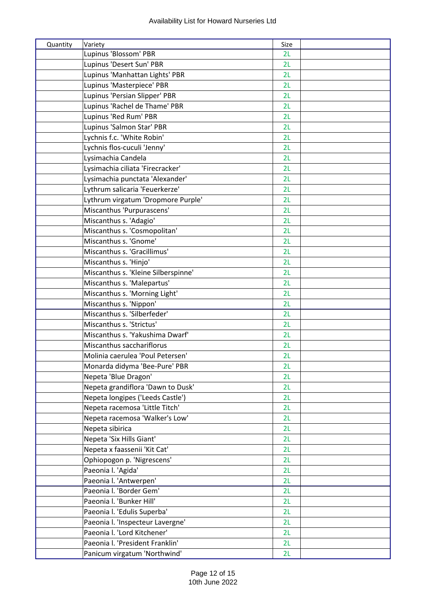| Quantity | Variety                             | Size |  |
|----------|-------------------------------------|------|--|
|          | Lupinus 'Blossom' PBR               | 2L   |  |
|          | Lupinus 'Desert Sun' PBR            | 2L   |  |
|          | Lupinus 'Manhattan Lights' PBR      | 2L   |  |
|          | Lupinus 'Masterpiece' PBR           | 2L   |  |
|          | Lupinus 'Persian Slipper' PBR       | 2L   |  |
|          | Lupinus 'Rachel de Thame' PBR       | 2L   |  |
|          | Lupinus 'Red Rum' PBR               | 2L   |  |
|          | Lupinus 'Salmon Star' PBR           | 2L   |  |
|          | Lychnis f.c. 'White Robin'          | 2L   |  |
|          | Lychnis flos-cuculi 'Jenny'         | 2L   |  |
|          | Lysimachia Candela                  | 2L   |  |
|          | Lysimachia ciliata 'Firecracker'    | 2L   |  |
|          | Lysimachia punctata 'Alexander'     | 2L   |  |
|          | Lythrum salicaria 'Feuerkerze'      | 2L   |  |
|          | Lythrum virgatum 'Dropmore Purple'  | 2L   |  |
|          | Miscanthus 'Purpurascens'           | 2L   |  |
|          | Miscanthus s. 'Adagio'              | 2L   |  |
|          | Miscanthus s. 'Cosmopolitan'        | 2L   |  |
|          | Miscanthus s. 'Gnome'               | 2L   |  |
|          | Miscanthus s. 'Gracillimus'         | 2L   |  |
|          | Miscanthus s. 'Hinjo'               | 2L   |  |
|          | Miscanthus s. 'Kleine Silberspinne' | 2L   |  |
|          | Miscanthus s. 'Malepartus'          | 2L   |  |
|          | Miscanthus s. 'Morning Light'       | 2L   |  |
|          | Miscanthus s. 'Nippon'              | 2L   |  |
|          | Miscanthus s. 'Silberfeder'         | 2L   |  |
|          | Miscanthus s. 'Strictus'            | 2L   |  |
|          | Miscanthus s. 'Yakushima Dwarf'     | 2L   |  |
|          | Miscanthus sacchariflorus           | 2L   |  |
|          | Molinia caerulea 'Poul Petersen'    | 2L   |  |
|          | Monarda didyma 'Bee-Pure' PBR       | 2L   |  |
|          | Nepeta 'Blue Dragon'                | 2L   |  |
|          | Nepeta grandiflora 'Dawn to Dusk'   | 2L   |  |
|          | Nepeta longipes ('Leeds Castle')    | 2L   |  |
|          | Nepeta racemosa 'Little Titch'      | 2L   |  |
|          | Nepeta racemosa 'Walker's Low'      | 2L   |  |
|          | Nepeta sibirica                     | 2L   |  |
|          | Nepeta 'Six Hills Giant'            | 2L   |  |
|          | Nepeta x faassenii 'Kit Cat'        | 2L   |  |
|          | Ophiopogon p. 'Nigrescens'          | 2L   |  |
|          | Paeonia I. 'Agida'                  | 2L   |  |
|          | Paeonia I. 'Antwerpen'              | 2L   |  |
|          | Paeonia I. 'Border Gem'             | 2L   |  |
|          | Paeonia I. 'Bunker Hill'            | 2L   |  |
|          | Paeonia I. 'Edulis Superba'         | 2L   |  |
|          | Paeonia I. 'Inspecteur Lavergne'    | 2L   |  |
|          | Paeonia I. 'Lord Kitchener'         | 2L   |  |
|          | Paeonia I. 'President Franklin'     | 2L   |  |
|          | Panicum virgatum 'Northwind'        | 2L   |  |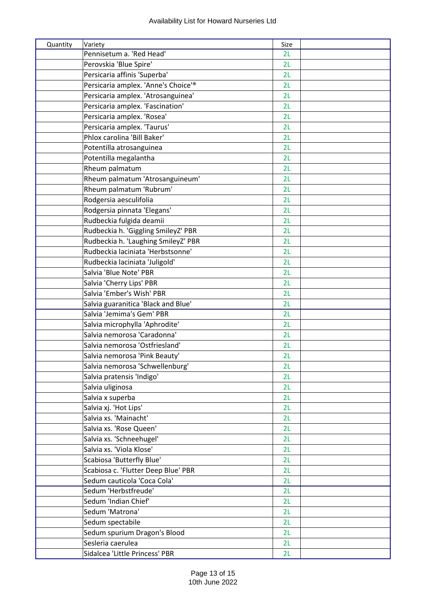| Quantity | Variety                             | Size |  |
|----------|-------------------------------------|------|--|
|          | Pennisetum a. 'Red Head'            | 2L   |  |
|          | Perovskia 'Blue Spire'              | 2L   |  |
|          | Persicaria affinis 'Superba'        | 2L   |  |
|          | Persicaria amplex. 'Anne's Choice'® | 2L   |  |
|          | Persicaria amplex. 'Atrosanguinea'  | 2L   |  |
|          | Persicaria amplex. 'Fascination'    | 2L   |  |
|          | Persicaria amplex. 'Rosea'          | 2L   |  |
|          | Persicaria amplex. 'Taurus'         | 2L   |  |
|          | Phlox carolina 'Bill Baker'         | 2L   |  |
|          | Potentilla atrosanguinea            | 2L   |  |
|          | Potentilla megalantha               | 2L   |  |
|          | Rheum palmatum                      | 2L   |  |
|          | Rheum palmatum 'Atrosanguineum'     | 2L   |  |
|          | Rheum palmatum 'Rubrum'             | 2L   |  |
|          | Rodgersia aesculifolia              | 2L   |  |
|          | Rodgersia pinnata 'Elegans'         | 2L   |  |
|          | Rudbeckia fulgida deamii            | 2L   |  |
|          | Rudbeckia h. 'Giggling SmileyZ' PBR | 2L   |  |
|          | Rudbeckia h. 'Laughing SmileyZ' PBR | 2L   |  |
|          | Rudbeckia laciniata 'Herbstsonne'   | 2L   |  |
|          | Rudbeckia laciniata 'Juligold'      | 2L   |  |
|          | Salvia 'Blue Note' PBR              | 2L   |  |
|          | Salvia 'Cherry Lips' PBR            | 2L   |  |
|          | Salvia 'Ember's Wish' PBR           | 2L   |  |
|          | Salvia guaranitica 'Black and Blue' | 2L   |  |
|          | Salvia 'Jemima's Gem' PBR           | 2L   |  |
|          | Salvia microphylla 'Aphrodite'      | 2L   |  |
|          | Salvia nemorosa 'Caradonna'         | 2L   |  |
|          | Salvia nemorosa 'Ostfriesland'      | 2L   |  |
|          | Salvia nemorosa 'Pink Beauty'       | 2L   |  |
|          | Salvia nemorosa 'Schwellenburg'     | 2L   |  |
|          | Salvia pratensis 'Indigo'           | 2L   |  |
|          | Salvia uliginosa                    | 2L   |  |
|          | Salvia x superba                    | 2L   |  |
|          | Salvia xj. 'Hot Lips'               | 2L   |  |
|          | Salvia xs. 'Mainacht'               | 2L   |  |
|          | Salvia xs. 'Rose Queen'             | 2L   |  |
|          | Salvia xs. 'Schneehugel'            | 2L   |  |
|          | Salvia xs. 'Viola Klose'            | 2L   |  |
|          | Scabiosa 'Butterfly Blue'           | 2L   |  |
|          | Scabiosa c. 'Flutter Deep Blue' PBR | 2L   |  |
|          | Sedum cauticola 'Coca Cola'         | 2L   |  |
|          | Sedum 'Herbstfreude'                | 2L   |  |
|          | Sedum 'Indian Chief'                | 2L   |  |
|          | Sedum 'Matrona'                     | 2L   |  |
|          | Sedum spectabile                    | 2L   |  |
|          | Sedum spurium Dragon's Blood        | 2L   |  |
|          | Sesleria caerulea                   | 2L   |  |
|          | Sidalcea 'Little Princess' PBR      | 2L   |  |
|          |                                     |      |  |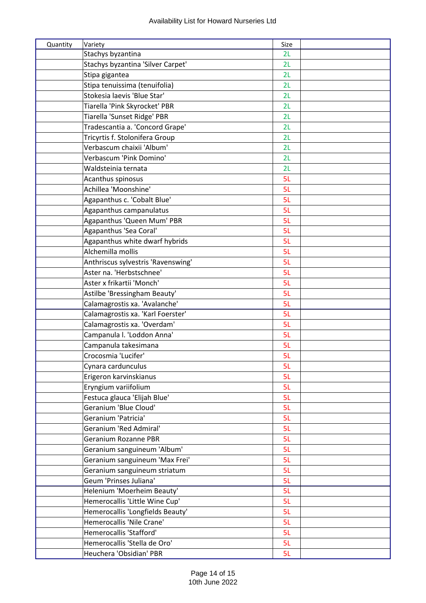| Quantity | Variety                            | Size |  |
|----------|------------------------------------|------|--|
|          | Stachys byzantina                  | 2L   |  |
|          | Stachys byzantina 'Silver Carpet'  | 2L   |  |
|          | Stipa gigantea                     | 2L   |  |
|          | Stipa tenuissima (tenuifolia)      | 2L   |  |
|          | Stokesia laevis 'Blue Star'        | 2L   |  |
|          | Tiarella 'Pink Skyrocket' PBR      | 2L   |  |
|          | Tiarella 'Sunset Ridge' PBR        | 2L   |  |
|          | Tradescantia a. 'Concord Grape'    | 2L   |  |
|          | Tricyrtis f. Stolonifera Group     | 2L   |  |
|          | Verbascum chaixii 'Album'          | 2L   |  |
|          | Verbascum 'Pink Domino'            | 2L   |  |
|          | Waldsteinia ternata                | 2L   |  |
|          | Acanthus spinosus                  | 5L   |  |
|          | Achillea 'Moonshine'               | 5L   |  |
|          | Agapanthus c. 'Cobalt Blue'        | 5L   |  |
|          | Agapanthus campanulatus            | 5L   |  |
|          | Agapanthus 'Queen Mum' PBR         | 5L   |  |
|          | Agapanthus 'Sea Coral'             | 5L   |  |
|          | Agapanthus white dwarf hybrids     | 5L   |  |
|          | Alchemilla mollis                  | 5L   |  |
|          | Anthriscus sylvestris 'Ravenswing' | 5L   |  |
|          | Aster na. 'Herbstschnee'           | 5L   |  |
|          | Aster x frikartii 'Monch'          | 5L   |  |
|          | Astilbe 'Bressingham Beauty'       | 5L   |  |
|          | Calamagrostis xa. 'Avalanche'      | 5L   |  |
|          | Calamagrostis xa. 'Karl Foerster'  | 5L   |  |
|          | Calamagrostis xa. 'Overdam'        | 5L   |  |
|          | Campanula I. 'Loddon Anna'         | 5L   |  |
|          | Campanula takesimana               | 5L   |  |
|          | Crocosmia 'Lucifer'                | 5L   |  |
|          | Cynara cardunculus                 | 5L   |  |
|          | Erigeron karvinskianus             | 5L   |  |
|          | Eryngium variifolium               | 5L   |  |
|          | Festuca glauca 'Elijah Blue'       | 5L   |  |
|          | Geranium 'Blue Cloud'              | 5L   |  |
|          | Geranium 'Patricia'                | 5L   |  |
|          | Geranium 'Red Admiral'             | 5L   |  |
|          | Geranium Rozanne PBR               | 5L   |  |
|          | Geranium sanguineum 'Album'        | 5L   |  |
|          | Geranium sanguineum 'Max Frei'     | 5L   |  |
|          | Geranium sanguineum striatum       | 5L   |  |
|          | Geum 'Prinses Juliana'             | 5L   |  |
|          | Helenium 'Moerheim Beauty'         | 5L   |  |
|          | Hemerocallis 'Little Wine Cup'     | 5L   |  |
|          | Hemerocallis 'Longfields Beauty'   | 5L   |  |
|          | Hemerocallis 'Nile Crane'          | 5L   |  |
|          | Hemerocallis 'Stafford'            | 5L   |  |
|          | Hemerocallis 'Stella de Oro'       | 5L   |  |
|          | Heuchera 'Obsidian' PBR            | 5L   |  |